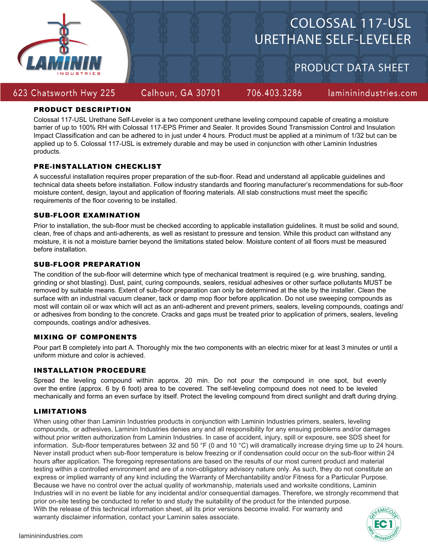

# COLOSSAL 117-USL URETHANE SELF-LEVELER

PRODUCT DATA SHEET

# 623 Chatsworth Hwy 225

Calhoun, GA 30701

706.403.3286

lamininindustries.com

# PRODUCT DESCRIPTION

Colossal 117-USL Urethane Self-Leveler is a two component urethane leveling compound capable of creating a moisture barrier of up to 100% RH with Colossal 117-EPS Primer and Sealer. It provides Sound Transmission Control and Insulation Impact Classification and can be adhered to in just under 4 hours. Product must be applied at a minimum of 1/32 but can be applied up to 5. Colossal 117-USL is extremely durable and may be used in conjunction with other Laminin Industries products.

## PRE-INSTALLATION CHECKLIST

A successful installation requires proper preparation of the sub-floor. Read and understand all applicable guidelines and technical data sheets before installation. Follow industry standards and flooring manufacturer's recommendations for sub-floor moisture content, design, layout and application of flooring materials. All slab constructions must meet the specific requirements of the floor covering to be installed.

## SUB-FLOOR EXAMINATION

Prior to installation, the sub-floor must be checked according to applicable installation guidelines. It must be solid and sound, clean, free of chaps and anti-adherents, as well as resistant to pressure and tension. While this product can withstand any moisture, it is not a moisture barrier beyond the limitations stated below. Moisture content of all floors must be measured before installation.

## SUB-FLOOR PREPARATION

The condition of the sub-floor will determine which type of mechanical treatment is required (e.g. wire brushing, sanding, grinding or shot blasting). Dust, paint, curing compounds, sealers, residual adhesives or other surface pollutants MUST be removed by suitable means. Extent of sub-floor preparation can only be determined at the site by the installer. Clean the surface with an industrial vacuum cleaner, tack or damp mop floor before application. Do not use sweeping compounds as most will contain oil or wax which will act as an anti-adherent and prevent primers, sealers, leveling compounds, coatings and/ or adhesives from bonding to the concrete. Cracks and gaps must be treated prior to application of primers, sealers, leveling compounds, coatings and/or adhesives.

## MIXING OF COMPONENTS

Pour part B completely into part A. Thoroughly mix the two components with an electric mixer for at least 3 minutes or until a uniform mixture and color is achieved.

# INSTALLATION PROCEDURE

Spread the leveling compound within approx. 20 min. Do not pour the compound in one spot, but evenly over the entire (approx. 6 by 6 foot) area to be covered. The self-leveling compound does not need to be leveled mechanically and forms an even surface by itself. Protect the leveling compound from direct sunlight and draft during drying.

# LIMITATIONS

When using other than Laminin Industries products in conjunction with Laminin Industries primers, sealers, leveling compounds, or adhesives, Laminin Industries denies any and all responsibility for any ensuing problems and/or damages without prior written authorization from Laminin Industries. In case of accident, injury, spill or exposure, see SDS sheet for information. Sub-floor temperatures between 32 and 50 °F (0 and 10 °C) will dramatically increase drying time up to 24 hours. Never install product when sub-floor temperature is below freezing or if condensation could occur on the sub-floor within 24 hours after application. The foregoing representations are based on the results of our most current product and material testing within a controlled environment and are of a non-obligatory advisory nature only. As such, they do not constitute an express or implied warranty of any kind including the Warranty of Merchantability and/or Fitness for a Particular Purpose. Because we have no control over the actual quality of workmanship, materials used and worksite conditions, Laminin Industries will in no event be liable for any incidental and/or consequential damages. Therefore, we strongly recommend that prior on-site testing be conducted to refer to and study the suitability of the product for the intended purpose. With the release of this technical information sheet, all its prior versions become invalid. For warranty and warranty disclaimer information, contact your Laminin sales associate.